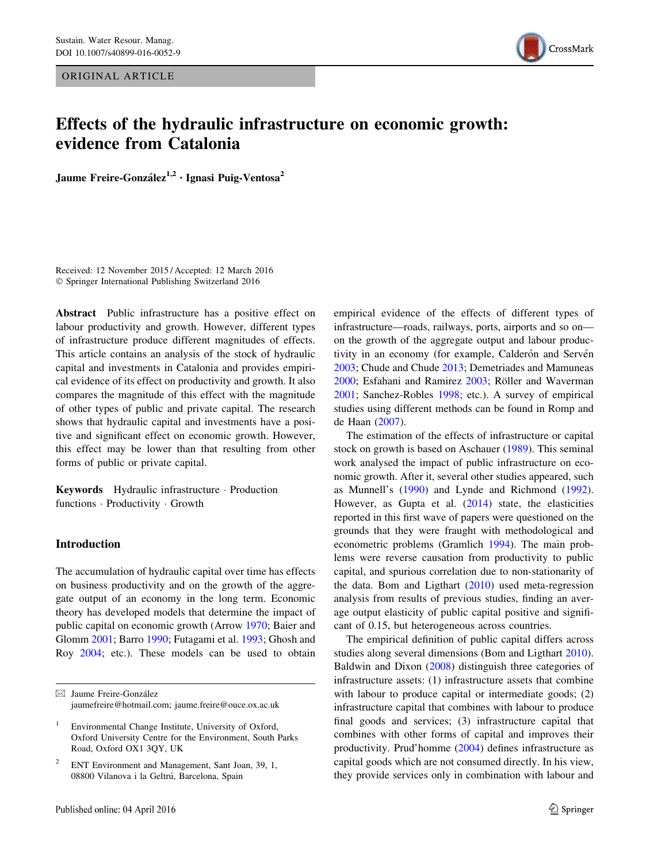ORIGINAL ARTICLE



# Effects of the hydraulic infrastructure on economic growth: evidence from Catalonia

Jaume Freire-González<sup>1,2</sup> · Ignasi Puig-Ventosa<sup>2</sup>

Received: 12 November 2015 / Accepted: 12 March 2016 - Springer International Publishing Switzerland 2016

Abstract Public infrastructure has a positive effect on labour productivity and growth. However, different types of infrastructure produce different magnitudes of effects. This article contains an analysis of the stock of hydraulic capital and investments in Catalonia and provides empirical evidence of its effect on productivity and growth. It also compares the magnitude of this effect with the magnitude of other types of public and private capital. The research shows that hydraulic capital and investments have a positive and significant effect on economic growth. However, this effect may be lower than that resulting from other forms of public or private capital.

Keywords Hydraulic infrastructure - Production functions - Productivity - Growth

## Introduction

The accumulation of hydraulic capital over time has effects on business productivity and on the growth of the aggregate output of an economy in the long term. Economic theory has developed models that determine the impact of public capital on economic growth (Arrow 1970; Baier and Glomm 2001; Barro 1990; Futagami et al. 1993; Ghosh and Roy 2004; etc.). These models can be used to obtain empirical evidence of the effects of different types of infrastructure—roads, railways, ports, airports and so on on the growth of the aggregate output and labour productivity in an economy (for example, Calderón and Servén 2003; Chude and Chude 2013; Demetriades and Mamuneas 2000; Esfahani and Ramirez 2003; Röller and Waverman 2001; Sanchez-Robles 1998; etc.). A survey of empirical studies using different methods can be found in Romp and de Haan (2007).

The estimation of the effects of infrastructure or capital stock on growth is based on Aschauer (1989). This seminal work analysed the impact of public infrastructure on economic growth. After it, several other studies appeared, such as Munnell's (1990) and Lynde and Richmond (1992). However, as Gupta et al. (2014) state, the elasticities reported in this first wave of papers were questioned on the grounds that they were fraught with methodological and econometric problems (Gramlich 1994). The main problems were reverse causation from productivity to public capital, and spurious correlation due to non-stationarity of the data. Bom and Ligthart (2010) used meta-regression analysis from results of previous studies, finding an average output elasticity of public capital positive and significant of 0.15, but heterogeneous across countries.

The empirical definition of public capital differs across studies along several dimensions (Bom and Ligthart 2010). Baldwin and Dixon (2008) distinguish three categories of infrastructure assets: (1) infrastructure assets that combine with labour to produce capital or intermediate goods; (2) infrastructure capital that combines with labour to produce final goods and services; (3) infrastructure capital that combines with other forms of capital and improves their productivity. Prud'homme (2004) defines infrastructure as capital goods which are not consumed directly. In his view, they provide services only in combination with labour and

 $\boxtimes$  Jaume Freire-González jaumefreire@hotmail.com; jaume.freire@ouce.ox.ac.uk

Environmental Change Institute, University of Oxford, Oxford University Centre for the Environment, South Parks Road, Oxford OX1 3QY, UK

<sup>&</sup>lt;sup>2</sup> ENT Environment and Management, Sant Joan, 39, 1, 08800 Vilanova i la Geltrú, Barcelona, Spain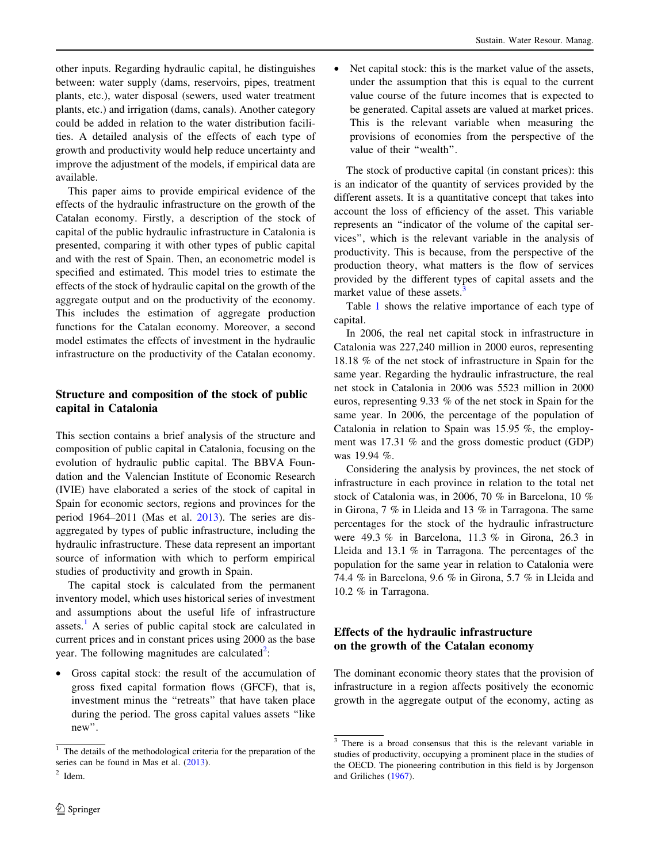other inputs. Regarding hydraulic capital, he distinguishes between: water supply (dams, reservoirs, pipes, treatment plants, etc.), water disposal (sewers, used water treatment plants, etc.) and irrigation (dams, canals). Another category could be added in relation to the water distribution facilities. A detailed analysis of the effects of each type of growth and productivity would help reduce uncertainty and improve the adjustment of the models, if empirical data are available.

This paper aims to provide empirical evidence of the effects of the hydraulic infrastructure on the growth of the Catalan economy. Firstly, a description of the stock of capital of the public hydraulic infrastructure in Catalonia is presented, comparing it with other types of public capital and with the rest of Spain. Then, an econometric model is specified and estimated. This model tries to estimate the effects of the stock of hydraulic capital on the growth of the aggregate output and on the productivity of the economy. This includes the estimation of aggregate production functions for the Catalan economy. Moreover, a second model estimates the effects of investment in the hydraulic infrastructure on the productivity of the Catalan economy.

# Structure and composition of the stock of public capital in Catalonia

This section contains a brief analysis of the structure and composition of public capital in Catalonia, focusing on the evolution of hydraulic public capital. The BBVA Foundation and the Valencian Institute of Economic Research (IVIE) have elaborated a series of the stock of capital in Spain for economic sectors, regions and provinces for the period 1964–2011 (Mas et al. 2013). The series are disaggregated by types of public infrastructure, including the hydraulic infrastructure. These data represent an important source of information with which to perform empirical studies of productivity and growth in Spain.

The capital stock is calculated from the permanent inventory model, which uses historical series of investment and assumptions about the useful life of infrastructure assets.<sup>1</sup> A series of public capital stock are calculated in current prices and in constant prices using 2000 as the base year. The following magnitudes are calculated<sup>2</sup>:

• Gross capital stock: the result of the accumulation of gross fixed capital formation flows (GFCF), that is, investment minus the ''retreats'' that have taken place during the period. The gross capital values assets ''like new''.

Net capital stock: this is the market value of the assets, under the assumption that this is equal to the current value course of the future incomes that is expected to be generated. Capital assets are valued at market prices. This is the relevant variable when measuring the provisions of economies from the perspective of the value of their "wealth".

The stock of productive capital (in constant prices): this is an indicator of the quantity of services provided by the different assets. It is a quantitative concept that takes into account the loss of efficiency of the asset. This variable represents an ''indicator of the volume of the capital services'', which is the relevant variable in the analysis of productivity. This is because, from the perspective of the production theory, what matters is the flow of services provided by the different types of capital assets and the market value of these assets. $3$ 

Table 1 shows the relative importance of each type of capital.

In 2006, the real net capital stock in infrastructure in Catalonia was 227,240 million in 2000 euros, representing 18.18 % of the net stock of infrastructure in Spain for the same year. Regarding the hydraulic infrastructure, the real net stock in Catalonia in 2006 was 5523 million in 2000 euros, representing 9.33 % of the net stock in Spain for the same year. In 2006, the percentage of the population of Catalonia in relation to Spain was 15.95 %, the employment was 17.31 % and the gross domestic product (GDP) was 19.94 %.

Considering the analysis by provinces, the net stock of infrastructure in each province in relation to the total net stock of Catalonia was, in 2006, 70 % in Barcelona, 10 % in Girona, 7 % in Lleida and 13 % in Tarragona. The same percentages for the stock of the hydraulic infrastructure were 49.3 % in Barcelona, 11.3 % in Girona, 26.3 in Lleida and 13.1 % in Tarragona. The percentages of the population for the same year in relation to Catalonia were 74.4 % in Barcelona, 9.6 % in Girona, 5.7 % in Lleida and 10.2 % in Tarragona.

## Effects of the hydraulic infrastructure on the growth of the Catalan economy

The dominant economic theory states that the provision of infrastructure in a region affects positively the economic growth in the aggregate output of the economy, acting as

<sup>1</sup> The details of the methodological criteria for the preparation of the series can be found in Mas et al. (2013).

 $2$  Idem.

 $\frac{3}{3}$  There is a broad consensus that this is the relevant variable in studies of productivity, occupying a prominent place in the studies of the OECD. The pioneering contribution in this field is by Jorgenson and Griliches (1967).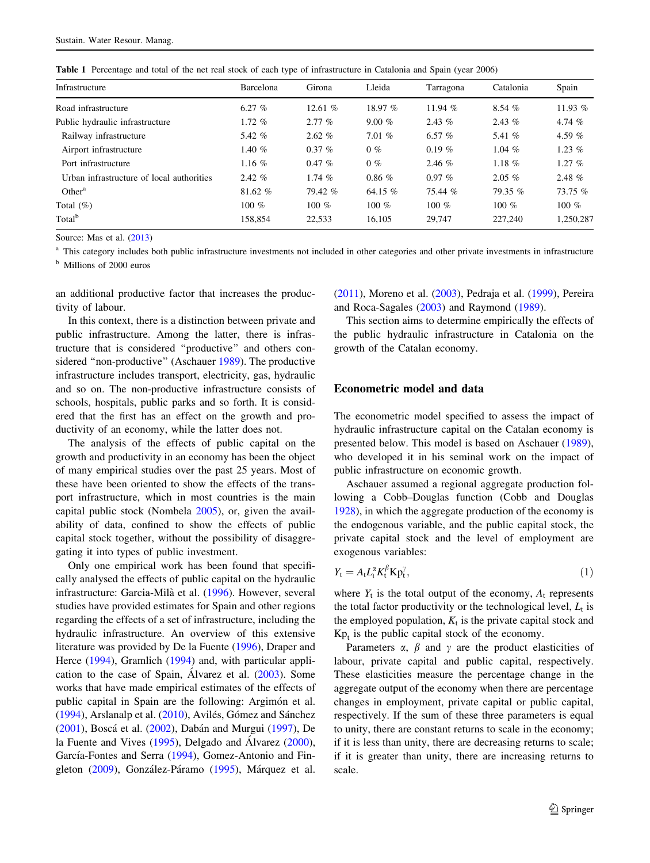| Table 1 Percentage and total of the net real stock of each type of infrastructure in Catalonia and Spain (year 2006) |
|----------------------------------------------------------------------------------------------------------------------|
|----------------------------------------------------------------------------------------------------------------------|

| Infrastructure                            | Barcelona | Girona   | Lleida    | Tarragona | Catalonia | Spain     |
|-------------------------------------------|-----------|----------|-----------|-----------|-----------|-----------|
| Road infrastructure                       | 6.27 $%$  | 12.61%   | 18.97%    | 11.94 $%$ | 8.54%     | 11.93 $%$ |
| Public hydraulic infrastructure           | $1.72\%$  | $2.77\%$ | $9.00\%$  | $2.43\%$  | 2.43 $%$  | 4.74 $%$  |
| Railway infrastructure                    | 5.42 $%$  | 2.62%    | $7.01\%$  | 6.57 $%$  | 5.41 $%$  | 4.59 $%$  |
| Airport infrastructure                    | 1.40 $%$  | $0.37\%$ | $0\%$     | $0.19\%$  | 1.04 $%$  | 1.23 $%$  |
| Port infrastructure                       | 1.16 $%$  | $0.47\%$ | $0\%$     | $2.46\%$  | 1.18 $%$  | $1.27\%$  |
| Urban infrastructure of local authorities | $2.42\%$  | 1.74 $%$ | $0.86\%$  | $0.97\%$  | $2.05\%$  | 2.48 $%$  |
| Other <sup>a</sup>                        | 81.62%    | 79.42%   | 64.15 $%$ | 75.44%    | $79.35\%$ | 73.75%    |
| Total $(\%)$                              | 100 $%$   | 100 $%$  | 100 $%$   | 100 $%$   | 100 $%$   | 100 $%$   |
| Total <sup>b</sup>                        | 158.854   | 22,533   | 16,105    | 29,747    | 227,240   | 1,250,287 |

Source: Mas et al. (2013)

<sup>a</sup> This category includes both public infrastructure investments not included in other categories and other private investments in infrastructure

<sup>b</sup> Millions of 2000 euros

an additional productive factor that increases the productivity of labour.

In this context, there is a distinction between private and public infrastructure. Among the latter, there is infrastructure that is considered ''productive'' and others considered "non-productive" (Aschauer 1989). The productive infrastructure includes transport, electricity, gas, hydraulic and so on. The non-productive infrastructure consists of schools, hospitals, public parks and so forth. It is considered that the first has an effect on the growth and productivity of an economy, while the latter does not.

The analysis of the effects of public capital on the growth and productivity in an economy has been the object of many empirical studies over the past 25 years. Most of these have been oriented to show the effects of the transport infrastructure, which in most countries is the main capital public stock (Nombela 2005), or, given the availability of data, confined to show the effects of public capital stock together, without the possibility of disaggregating it into types of public investment.

Only one empirical work has been found that specifically analysed the effects of public capital on the hydraulic infrastructure: Garcia-Mila` et al. (1996). However, several studies have provided estimates for Spain and other regions regarding the effects of a set of infrastructure, including the hydraulic infrastructure. An overview of this extensive literature was provided by De la Fuente (1996), Draper and Herce (1994), Gramlich (1994) and, with particular application to the case of Spain, Álvarez et al.  $(2003)$ . Some works that have made empirical estimates of the effects of public capital in Spain are the following: Argimón et al.  $(1994)$ , Arslanalp et al.  $(2010)$ , Avilés, Gómez and Sánchez (2001), Boscá et al. (2002), Dabán and Murgui (1997), De la Fuente and Vives  $(1995)$ , Delgado and Álvarez  $(2000)$ , García-Fontes and Serra (1994), Gomez-Antonio and Fingleton (2009), González-Páramo (1995), Márquez et al.

(2011), Moreno et al. (2003), Pedraja et al. (1999), Pereira and Roca-Sagales (2003) and Raymond (1989).

This section aims to determine empirically the effects of the public hydraulic infrastructure in Catalonia on the growth of the Catalan economy.

### Econometric model and data

The econometric model specified to assess the impact of hydraulic infrastructure capital on the Catalan economy is presented below. This model is based on Aschauer (1989), who developed it in his seminal work on the impact of public infrastructure on economic growth.

Aschauer assumed a regional aggregate production following a Cobb–Douglas function (Cobb and Douglas 1928), in which the aggregate production of the economy is the endogenous variable, and the public capital stock, the private capital stock and the level of employment are exogenous variables:

$$
Y_t = A_t L_t^{\alpha} K_t^{\beta} K p_t^{\gamma},\tag{1}
$$

where  $Y_t$  is the total output of the economy,  $A_t$  represents the total factor productivity or the technological level,  $L_t$  is the employed population,  $K_t$  is the private capital stock and  $Kp_t$  is the public capital stock of the economy.

Parameters  $\alpha$ ,  $\beta$  and  $\gamma$  are the product elasticities of labour, private capital and public capital, respectively. These elasticities measure the percentage change in the aggregate output of the economy when there are percentage changes in employment, private capital or public capital, respectively. If the sum of these three parameters is equal to unity, there are constant returns to scale in the economy; if it is less than unity, there are decreasing returns to scale; if it is greater than unity, there are increasing returns to scale.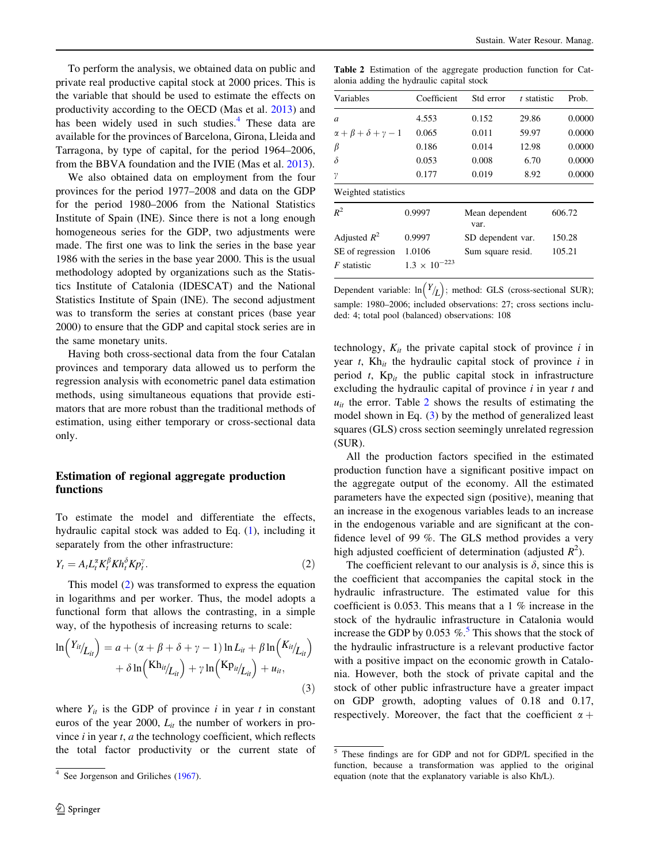To perform the analysis, we obtained data on public and private real productive capital stock at 2000 prices. This is the variable that should be used to estimate the effects on productivity according to the OECD (Mas et al. 2013) and has been widely used in such studies.<sup>4</sup> These data are available for the provinces of Barcelona, Girona, Lleida and Tarragona, by type of capital, for the period 1964–2006, from the BBVA foundation and the IVIE (Mas et al. 2013).

We also obtained data on employment from the four provinces for the period 1977–2008 and data on the GDP for the period 1980–2006 from the National Statistics Institute of Spain (INE). Since there is not a long enough homogeneous series for the GDP, two adjustments were made. The first one was to link the series in the base year 1986 with the series in the base year 2000. This is the usual methodology adopted by organizations such as the Statistics Institute of Catalonia (IDESCAT) and the National Statistics Institute of Spain (INE). The second adjustment was to transform the series at constant prices (base year 2000) to ensure that the GDP and capital stock series are in the same monetary units.

Having both cross-sectional data from the four Catalan provinces and temporary data allowed us to perform the regression analysis with econometric panel data estimation methods, using simultaneous equations that provide estimators that are more robust than the traditional methods of estimation, using either temporary or cross-sectional data only.

### Estimation of regional aggregate production functions

To estimate the model and differentiate the effects, hydraulic capital stock was added to Eq. (1), including it separately from the other infrastructure:

$$
Y_t = A_t L_t^{\alpha} K_t^{\beta} K h_t^{\delta} K p_t^{\gamma}.
$$
\n<sup>(2)</sup>

This model (2) was transformed to express the equation in logarithms and per worker. Thus, the model adopts a functional form that allows the contrasting, in a simple way, of the hypothesis of increasing returns to scale:

$$
\ln\left(\frac{Y_{ii}}{L_{ii}}\right) = a + (\alpha + \beta + \delta + \gamma - 1) \ln L_{it} + \beta \ln\left(\frac{K_{ii}}{L_{ii}}\right) + \delta \ln\left(\frac{Kh_{ii}}{L_{ii}}\right) + \gamma \ln\left(\frac{K_{i}}{L_{ii}}\right) + u_{it},\tag{3}
$$

where  $Y_{it}$  is the GDP of province i in year t in constant euros of the year 2000,  $L_{it}$  the number of workers in province  $i$  in year  $t$ ,  $a$  the technology coefficient, which reflects the total factor productivity or the current state of

Table 2 Estimation of the aggregate production function for Catalonia adding the hydraulic capital stock

| Variables                              | Coefficient            | Std error              | t statistic | Prob.  |
|----------------------------------------|------------------------|------------------------|-------------|--------|
| a                                      | 4.553                  | 0.152                  | 29.86       | 0.0000 |
| $\alpha + \beta + \delta + \gamma - 1$ | 0.065                  | 0.011                  | 59.97       | 0.0000 |
| β                                      | 0.186                  | 0.014                  | 12.98       | 0.0000 |
| δ                                      | 0.053                  | 0.008                  | 6.70        | 0.0000 |
| γ                                      | 0.177                  | 0.019                  | 8.92        | 0.0000 |
| Weighted statistics                    |                        |                        |             |        |
| $R^2$                                  | 0.9997                 | Mean dependent<br>var. |             | 606.72 |
| Adjusted $R^2$                         | 0.9997                 | SD dependent var.      |             | 150.28 |
| SE of regression                       | 1.0106                 | Sum square resid.      |             | 105.21 |
| F statistic                            | $1.3 \times 10^{-223}$ |                        |             |        |

Dependent variable:  $\ln(Y/L)$ ; method: GLS (cross-sectional SUR); sample: 1980–2006; included observations: 27; cross sections included: 4; total pool (balanced) observations: 108

technology,  $K_{it}$  the private capital stock of province i in year  $t$ , Kh<sub>it</sub> the hydraulic capital stock of province i in period t,  $Kp_{it}$  the public capital stock in infrastructure excluding the hydraulic capital of province  $i$  in year  $t$  and  $u_{it}$  the error. Table 2 shows the results of estimating the model shown in Eq. (3) by the method of generalized least squares (GLS) cross section seemingly unrelated regression (SUR).

All the production factors specified in the estimated production function have a significant positive impact on the aggregate output of the economy. All the estimated parameters have the expected sign (positive), meaning that an increase in the exogenous variables leads to an increase in the endogenous variable and are significant at the confidence level of 99 %. The GLS method provides a very high adjusted coefficient of determination (adjusted  $R^2$ ).

The coefficient relevant to our analysis is  $\delta$ , since this is the coefficient that accompanies the capital stock in the hydraulic infrastructure. The estimated value for this coefficient is 0.053. This means that a 1 % increase in the stock of the hydraulic infrastructure in Catalonia would increase the GDP by 0.053  $\%$ .<sup>5</sup> This shows that the stock of the hydraulic infrastructure is a relevant productive factor with a positive impact on the economic growth in Catalonia. However, both the stock of private capital and the stock of other public infrastructure have a greater impact on GDP growth, adopting values of 0.18 and 0.17, respectively. Moreover, the fact that the coefficient  $\alpha$  +

<sup>&</sup>lt;sup>4</sup> See Jorgenson and Griliches (1967).

<sup>5</sup> These findings are for GDP and not for GDP/L specified in the function, because a transformation was applied to the original equation (note that the explanatory variable is also Kh/L).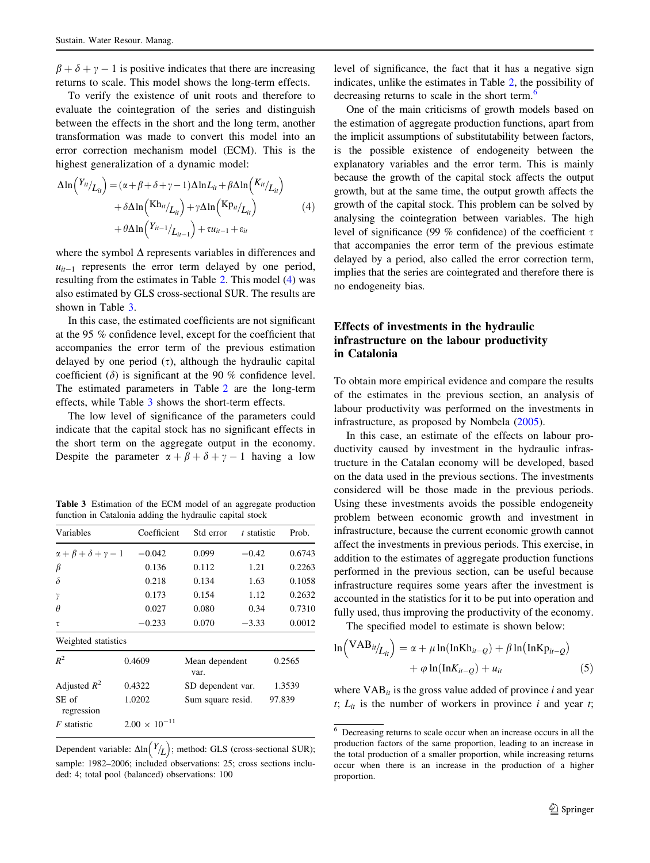$\beta + \delta + \nu - 1$  is positive indicates that there are increasing returns to scale. This model shows the long-term effects.

To verify the existence of unit roots and therefore to evaluate the cointegration of the series and distinguish between the effects in the short and the long term, another transformation was made to convert this model into an error correction mechanism model (ECM). This is the highest generalization of a dynamic model:

$$
\Delta \ln \left( \frac{Y_{it}}{L_{it}} \right) = (\alpha + \beta + \delta + \gamma - 1) \Delta \ln L_{it} + \beta \Delta \ln \left( \frac{K_{it}}{L_{it}} \right) + \delta \Delta \ln \left( \frac{Kh_{it}}{L_{it}} \right) + \gamma \Delta \ln \left( \frac{K p_{it}}{L_{it}} \right) + \theta \Delta \ln \left( \frac{Y_{it-1}}{L_{it-1}} \right) + \tau u_{it-1} + \varepsilon_{it}
$$
\n(4)

where the symbol  $\Delta$  represents variables in differences and  $u_{it-1}$  represents the error term delayed by one period, resulting from the estimates in Table 2. This model (4) was also estimated by GLS cross-sectional SUR. The results are shown in Table 3.

In this case, the estimated coefficients are not significant at the 95 % confidence level, except for the coefficient that accompanies the error term of the previous estimation delayed by one period  $(\tau)$ , although the hydraulic capital coefficient  $(\delta)$  is significant at the 90 % confidence level. The estimated parameters in Table 2 are the long-term effects, while Table 3 shows the short-term effects.

The low level of significance of the parameters could indicate that the capital stock has no significant effects in the short term on the aggregate output in the economy. Despite the parameter  $\alpha + \beta + \delta + \gamma - 1$  having a low

Table 3 Estimation of the ECM model of an aggregate production function in Catalonia adding the hydraulic capital stock

| Variables                              | Coefficient            | Std error              | t statistic | Prob.  |
|----------------------------------------|------------------------|------------------------|-------------|--------|
| $\alpha + \beta + \delta + \gamma - 1$ | $-0.042$               | 0.099                  | $-0.42$     | 0.6743 |
| β                                      | 0.136                  | 0.112                  | 1.21        | 0.2263 |
| $\delta$                               | 0.218                  | 0.134                  | 1.63        | 0.1058 |
| γ                                      | 0.173                  | 0.154                  | 1.12        | 0.2632 |
| $\theta$                               | 0.027                  | 0.080                  | 0.34        | 0.7310 |
| τ                                      | $-0.233$               | 0.070                  | $-3.33$     | 0.0012 |
| Weighted statistics                    |                        |                        |             |        |
| $R^2$                                  | 0.4609                 | Mean dependent<br>var. |             | 0.2565 |
| Adjusted $R^2$                         | 0.4322                 | SD dependent var.      |             | 1.3539 |
| SE of<br>regression                    | 1.0202                 | Sum square resid.      |             | 97.839 |
| $F$ statistic                          | $2.00 \times 10^{-11}$ |                        |             |        |

**Dependent variable:**  $\Delta \ln(Y/L)$ ; method: GLS (cross-sectional SUR); sample: 1982–2006; included observations: 25; cross sections included: 4; total pool (balanced) observations: 100

level of significance, the fact that it has a negative sign indicates, unlike the estimates in Table 2, the possibility of decreasing returns to scale in the short term.<sup>6</sup>

One of the main criticisms of growth models based on the estimation of aggregate production functions, apart from the implicit assumptions of substitutability between factors, is the possible existence of endogeneity between the explanatory variables and the error term. This is mainly because the growth of the capital stock affects the output growth, but at the same time, the output growth affects the growth of the capital stock. This problem can be solved by analysing the cointegration between variables. The high level of significance (99 % confidence) of the coefficient  $\tau$ that accompanies the error term of the previous estimate delayed by a period, also called the error correction term, implies that the series are cointegrated and therefore there is no endogeneity bias.

## Effects of investments in the hydraulic infrastructure on the labour productivity in Catalonia

To obtain more empirical evidence and compare the results of the estimates in the previous section, an analysis of labour productivity was performed on the investments in infrastructure, as proposed by Nombela (2005).

In this case, an estimate of the effects on labour productivity caused by investment in the hydraulic infrastructure in the Catalan economy will be developed, based on the data used in the previous sections. The investments considered will be those made in the previous periods. Using these investments avoids the possible endogeneity problem between economic growth and investment in infrastructure, because the current economic growth cannot affect the investments in previous periods. This exercise, in addition to the estimates of aggregate production functions performed in the previous section, can be useful because infrastructure requires some years after the investment is accounted in the statistics for it to be put into operation and fully used, thus improving the productivity of the economy.

The specified model to estimate is shown below:

$$
\ln\left(\frac{\text{VAB}_{ii}}{L_{ii}}\right) = \alpha + \mu \ln(\text{InKh}_{ii-Q}) + \beta \ln(\text{InKp}_{ii-Q}) + \varphi \ln(\text{InK}_{ii-Q}) + u_{ii}
$$
\n(5)

where  $VAB_{it}$  is the gross value added of province i and year t;  $L_{it}$  is the number of workers in province i and year t;

 $\overline{6}$  Decreasing returns to scale occur when an increase occurs in all the production factors of the same proportion, leading to an increase in the total production of a smaller proportion, while increasing returns occur when there is an increase in the production of a higher proportion.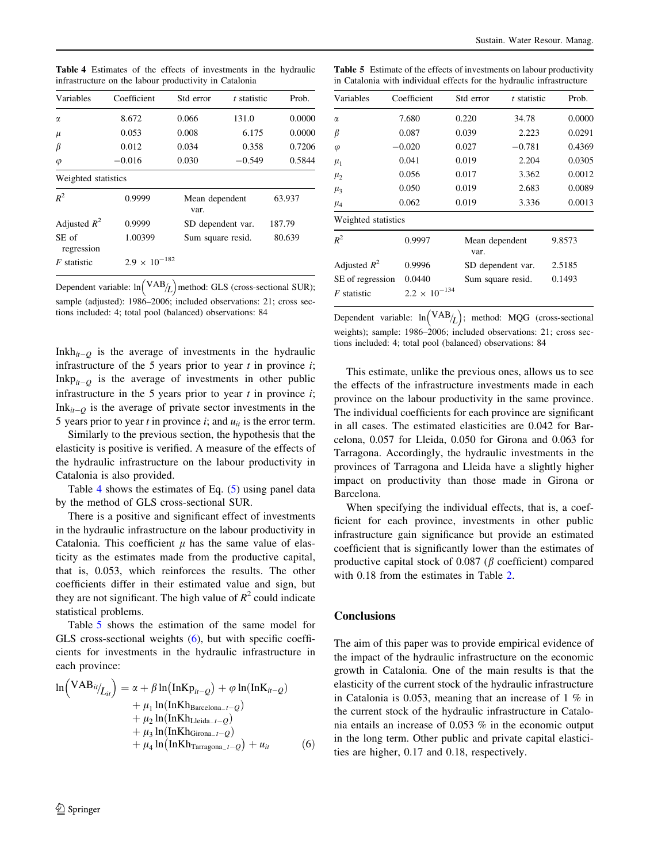| Variables           | Coefficient            | Std error | t statistic       | Prob.  |
|---------------------|------------------------|-----------|-------------------|--------|
| α                   | 8.672                  | 0.066     | 131.0             | 0.0000 |
| $\mu$               | 0.053                  | 0.008     | 6.175             | 0.0000 |
| β                   | 0.012                  | 0.034     | 0.358             | 0.7206 |
| $\varphi$           | $-0.016$               | 0.030     | $-0.549$          | 0.5844 |
| Weighted statistics |                        |           |                   |        |
| $R^2$               | 0.9999                 | var.      | Mean dependent    |        |
| Adjusted $R^2$      | 0.9999                 |           | SD dependent var. |        |
| SE of<br>regression | 1.00399                |           | Sum square resid. |        |
| $F$ statistic       | $2.9 \times 10^{-182}$ |           |                   |        |

Table 4 Estimates of the effects of investments in the hydraulic infrastructure on the labour productivity in Catalonia

**Dependent variable:**  $\ln({\rm VAB}_{/L})$  method: GLS (cross-sectional SUR); sample (adjusted): 1986–2006; included observations: 21; cross sections included: 4; total pool (balanced) observations: 84

Inkh $_{it=0}$  is the average of investments in the hydraulic infrastructure of the 5 years prior to year  $t$  in province  $i$ ; Inkp<sub>it-0</sub> is the average of investments in other public infrastructure in the 5 years prior to year  $t$  in province  $i$ ;  $Ink_{it-0}$  is the average of private sector investments in the 5 years prior to year t in province i; and  $u_{it}$  is the error term.

Similarly to the previous section, the hypothesis that the elasticity is positive is verified. A measure of the effects of the hydraulic infrastructure on the labour productivity in Catalonia is also provided.

Table 4 shows the estimates of Eq. (5) using panel data by the method of GLS cross-sectional SUR.

There is a positive and significant effect of investments in the hydraulic infrastructure on the labour productivity in Catalonia. This coefficient  $\mu$  has the same value of elasticity as the estimates made from the productive capital, that is, 0.053, which reinforces the results. The other coefficients differ in their estimated value and sign, but they are not significant. The high value of  $R^2$  could indicate statistical problems.

Table 5 shows the estimation of the same model for GLS cross-sectional weights (6), but with specific coefficients for investments in the hydraulic infrastructure in each province:

$$
\ln\left(\frac{\text{VAB}_{it}}{L_{it}}\right) = \alpha + \beta \ln\left(\text{InKp}_{it-Q}\right) + \varphi \ln(\text{InK}_{it-Q}) + \mu_1 \ln(\text{InKh}_{\text{Barelona\_}t-Q}) + \mu_2 \ln(\text{InKh}_{\text{Lleida\_}t-Q}) + \mu_3 \ln(\text{InKh}_{\text{Girona\_}t-Q}) + \mu_4 \ln(\text{InKh}_{\text{Girona\_}t-Q}) + \mu_4 \ln(\text{InKh}_{\text{Tarragona\_}t-Q}) + \mu_i \tag{6}
$$

Table 5 Estimate of the effects of investments on labour productivity in Catalonia with individual effects for the hydraulic infrastructure

| Variables           | Coefficient            | Std error | t statistic       | Prob.  |
|---------------------|------------------------|-----------|-------------------|--------|
| $\alpha$            | 7.680                  | 0.220     | 34.78             | 0.0000 |
| β                   | 0.087                  | 0.039     | 2.223             | 0.0291 |
| $\varphi$           | $-0.020$               | 0.027     | $-0.781$          | 0.4369 |
| $\mu_1$             | 0.041                  | 0.019     | 2.204             | 0.0305 |
| $\mu_2$             | 0.056                  | 0.017     | 3.362             | 0.0012 |
| $\mu_3$             | 0.050                  | 0.019     | 2.683             | 0.0089 |
| $\mu_4$             | 0.062                  | 0.019     | 3.336             | 0.0013 |
| Weighted statistics |                        |           |                   |        |
| $R^2$               | 0.9997                 | var.      | Mean dependent    |        |
| Adjusted $R^2$      | 0.9996                 |           | SD dependent var. |        |
| SE of regression    | 0.0440                 |           | Sum square resid. |        |
| F statistic         | $2.2 \times 10^{-134}$ |           |                   |        |

Dependent variable:  $\ln (VAB_L)$ ; method: MQG (cross-sectional weights); sample: 1986–2006; included observations: 21; cross sections included: 4; total pool (balanced) observations: 84

This estimate, unlike the previous ones, allows us to see the effects of the infrastructure investments made in each province on the labour productivity in the same province. The individual coefficients for each province are significant in all cases. The estimated elasticities are 0.042 for Barcelona, 0.057 for Lleida, 0.050 for Girona and 0.063 for Tarragona. Accordingly, the hydraulic investments in the provinces of Tarragona and Lleida have a slightly higher impact on productivity than those made in Girona or Barcelona.

When specifying the individual effects, that is, a coefficient for each province, investments in other public infrastructure gain significance but provide an estimated coefficient that is significantly lower than the estimates of productive capital stock of 0.087 ( $\beta$  coefficient) compared with 0.18 from the estimates in Table 2.

#### **Conclusions**

The aim of this paper was to provide empirical evidence of the impact of the hydraulic infrastructure on the economic growth in Catalonia. One of the main results is that the elasticity of the current stock of the hydraulic infrastructure in Catalonia is 0.053, meaning that an increase of 1 % in the current stock of the hydraulic infrastructure in Catalonia entails an increase of 0.053 % in the economic output in the long term. Other public and private capital elasticities are higher, 0.17 and 0.18, respectively.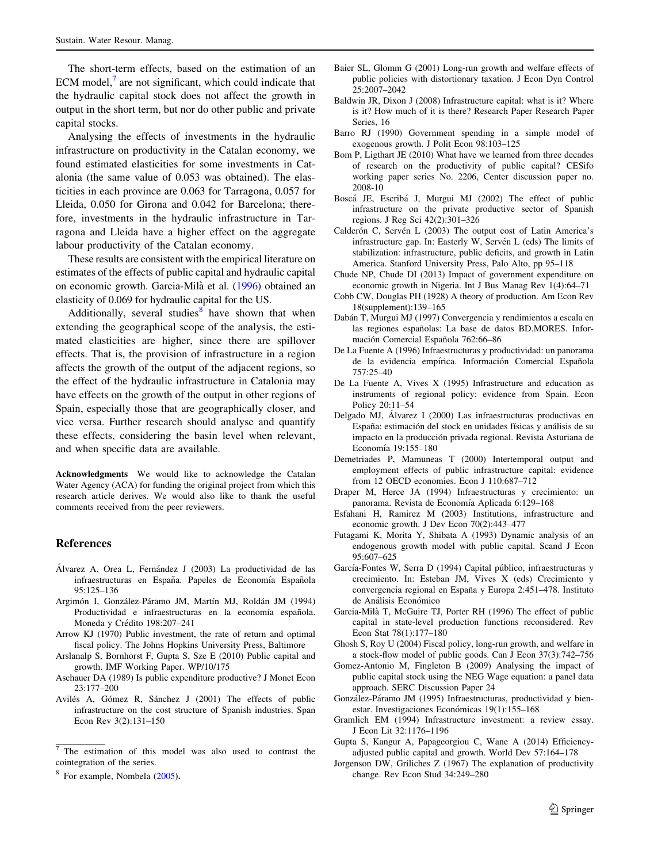The short-term effects, based on the estimation of an ECM model, $<sup>7</sup>$  are not significant, which could indicate that</sup> the hydraulic capital stock does not affect the growth in output in the short term, but nor do other public and private capital stocks.

Analysing the effects of investments in the hydraulic infrastructure on productivity in the Catalan economy, we found estimated elasticities for some investments in Catalonia (the same value of 0.053 was obtained). The elasticities in each province are 0.063 for Tarragona, 0.057 for Lleida, 0.050 for Girona and 0.042 for Barcelona; therefore, investments in the hydraulic infrastructure in Tarragona and Lleida have a higher effect on the aggregate labour productivity of the Catalan economy.

These results are consistent with the empirical literature on estimates of the effects of public capital and hydraulic capital on economic growth. Garcia-Mila` et al. (1996) obtained an elasticity of 0.069 for hydraulic capital for the US.

Additionally, several studies<sup>8</sup> have shown that when extending the geographical scope of the analysis, the estimated elasticities are higher, since there are spillover effects. That is, the provision of infrastructure in a region affects the growth of the output of the adjacent regions, so the effect of the hydraulic infrastructure in Catalonia may have effects on the growth of the output in other regions of Spain, especially those that are geographically closer, and vice versa. Further research should analyse and quantify these effects, considering the basin level when relevant, and when specific data are available.

Acknowledgments We would like to acknowledge the Catalan Water Agency (ACA) for funding the original project from which this research article derives. We would also like to thank the useful comments received from the peer reviewers.

#### References

- Álvarez A, Orea L, Fernández J (2003) La productividad de las infraestructuras en España. Papeles de Economía Española 95:125–136
- Argimón I, González-Páramo JM, Martín MJ, Roldán JM (1994) Productividad e infraestructuras en la economía española. Moneda y Crédito 198:207-241
- Arrow KJ (1970) Public investment, the rate of return and optimal fiscal policy. The Johns Hopkins University Press, Baltimore
- Arslanalp S, Bornhorst F, Gupta S, Sze E (2010) Public capital and growth. IMF Working Paper. WP/10/175
- Aschauer DA (1989) Is public expenditure productive? J Monet Econ 23:177–200
- Avilés A, Gómez R, Sánchez J (2001) The effects of public infrastructure on the cost structure of Spanish industries. Span Econ Rev 3(2):131–150
- Baier SL, Glomm G (2001) Long-run growth and welfare effects of public policies with distortionary taxation. J Econ Dyn Control 25:2007–2042
- Baldwin JR, Dixon J (2008) Infrastructure capital: what is it? Where is it? How much of it is there? Research Paper Research Paper Series, 16
- Barro RJ (1990) Government spending in a simple model of exogenous growth. J Polit Econ 98:103–125
- Bom P, Ligthart JE (2010) What have we learned from three decades of research on the productivity of public capital? CESifo working paper series No. 2206, Center discussion paper no. 2008-10
- Boscá JE, Escribá J, Murgui MJ (2002) The effect of public infrastructure on the private productive sector of Spanish regions. J Reg Sci 42(2):301–326
- Calderón C, Servén L (2003) The output cost of Latin America's infrastructure gap. In: Easterly W, Servén L (eds) The limits of stabilization: infrastructure, public deficits, and growth in Latin America. Stanford University Press, Palo Alto, pp 95–118
- Chude NP, Chude DI (2013) Impact of government expenditure on economic growth in Nigeria. Int J Bus Manag Rev 1(4):64–71
- Cobb CW, Douglas PH (1928) A theory of production. Am Econ Rev 18(supplement):139–165
- Dabán T, Murgui MJ (1997) Convergencia y rendimientos a escala en las regiones españolas: La base de datos BD.MORES. Información Comercial Española 762:66-86
- De La Fuente A (1996) Infraestructuras y productividad: un panorama de la evidencia empírica. Información Comercial Española 757:25–40
- De La Fuente A, Vives X (1995) Infrastructure and education as instruments of regional policy: evidence from Spain. Econ Policy 20:11–54
- Delgado MJ, Álvarez I (2000) Las infraestructuras productivas en España: estimación del stock en unidades físicas y análisis de su impacto en la producción privada regional. Revista Asturiana de Economía 19:155-180
- Demetriades P, Mamuneas T (2000) Intertemporal output and employment effects of public infrastructure capital: evidence from 12 OECD economies. Econ J 110:687–712
- Draper M, Herce JA (1994) Infraestructuras y crecimiento: un panorama. Revista de Economía Aplicada 6:129-168
- Esfahani H, Ramirez M (2003) Institutions, infrastructure and economic growth. J Dev Econ 70(2):443–477
- Futagami K, Morita Y, Shibata A (1993) Dynamic analysis of an endogenous growth model with public capital. Scand J Econ 95:607–625
- García-Fontes W, Serra D (1994) Capital público, infraestructuras y crecimiento. In: Esteban JM, Vives X (eds) Crecimiento y convergencia regional en España y Europa 2:451-478. Instituto de Análisis Económico
- Garcia-Mila` T, McGuire TJ, Porter RH (1996) The effect of public capital in state-level production functions reconsidered. Rev Econ Stat 78(1):177–180
- Ghosh S, Roy U (2004) Fiscal policy, long-run growth, and welfare in a stock-flow model of public goods. Can J Econ 37(3):742–756
- Gomez-Antonio M, Fingleton B (2009) Analysing the impact of public capital stock using the NEG Wage equation: a panel data approach. SERC Discussion Paper 24
- González-Páramo JM (1995) Infraestructuras, productividad y bienestar. Investigaciones Económicas 19(1):155-168
- Gramlich EM (1994) Infrastructure investment: a review essay. J Econ Lit 32:1176–1196
- Gupta S, Kangur A, Papageorgiou C, Wane A (2014) Efficiencyadjusted public capital and growth. World Dev 57:164–178
- Jorgenson DW, Griliches Z (1967) The explanation of productivity change. Rev Econ Stud 34:249–280

<sup>7</sup> The estimation of this model was also used to contrast the cointegration of the series.

<sup>&</sup>lt;sup>8</sup> For example, Nombela (2005).